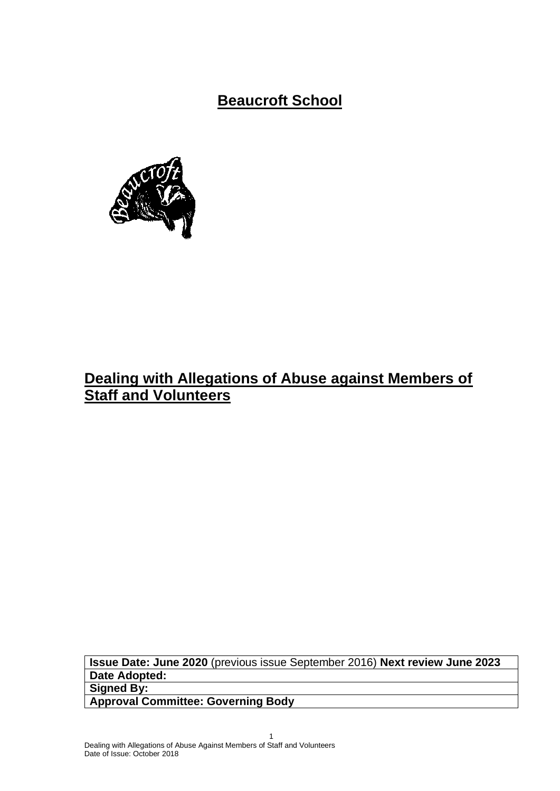**Beaucroft School**



# **Dealing with Allegations of Abuse against Members of Staff and Volunteers**

**Issue Date: June 2020** (previous issue September 2016) **Next review June 2023 Date Adopted: Signed By:**

**Approval Committee: Governing Body**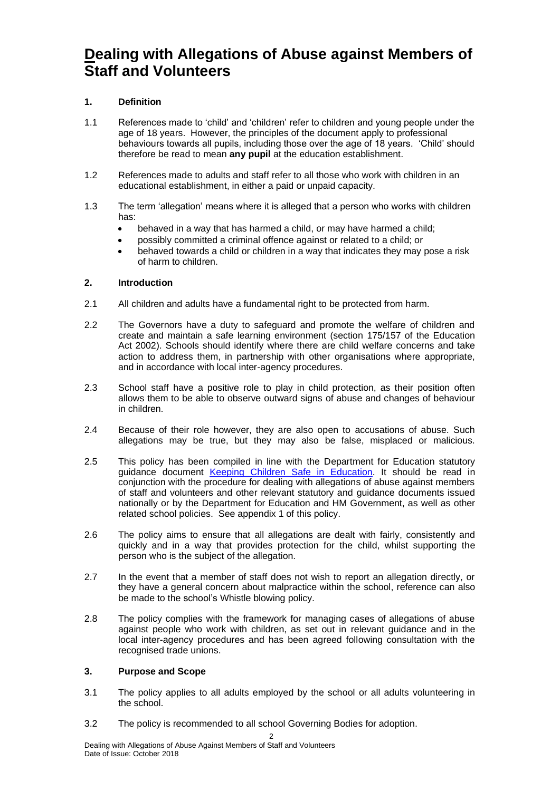# **Dealing with Allegations of Abuse against Members of Staff and Volunteers**

# **1. Definition**

- 1.1 References made to 'child' and 'children' refer to children and young people under the age of 18 years. However, the principles of the document apply to professional behaviours towards all pupils, including those over the age of 18 years. 'Child' should therefore be read to mean **any pupil** at the education establishment.
- 1.2 References made to adults and staff refer to all those who work with children in an educational establishment, in either a paid or unpaid capacity.
- 1.3 The term 'allegation' means where it is alleged that a person who works with children has:
	- behaved in a way that has harmed a child, or may have harmed a child;
	- possibly committed a criminal offence against or related to a child; or
	- behaved towards a child or children in a way that indicates they may pose a risk of harm to children.

# **2. Introduction**

- 2.1 All children and adults have a fundamental right to be protected from harm.
- 2.2 The Governors have a duty to safeguard and promote the welfare of children and create and maintain a safe learning environment (section 175/157 of the Education Act 2002). Schools should identify where there are child welfare concerns and take action to address them, in partnership with other organisations where appropriate, and in accordance with local inter-agency procedures.
- 2.3 School staff have a positive role to play in child protection, as their position often allows them to be able to observe outward signs of abuse and changes of behaviour in children.
- 2.4 Because of their role however, they are also open to accusations of abuse. Such allegations may be true, but they may also be false, misplaced or malicious.
- 2.5 This policy has been compiled in line with the Department for Education statutory guidance document [Keeping Children Safe in Education.](https://www.gov.uk/government/publications/keeping-children-safe-in-education--2) It should be read in conjunction with the procedure for dealing with allegations of abuse against members of staff and volunteers and other relevant statutory and guidance documents issued nationally or by the Department for Education and HM Government, as well as other related school policies. See appendix 1 of this policy.
- 2.6 The policy aims to ensure that all allegations are dealt with fairly, consistently and quickly and in a way that provides protection for the child, whilst supporting the person who is the subject of the allegation.
- 2.7 In the event that a member of staff does not wish to report an allegation directly, or they have a general concern about malpractice within the school, reference can also be made to the school's Whistle blowing policy.
- 2.8 The policy complies with the framework for managing cases of allegations of abuse against people who work with children, as set out in relevant guidance and in the local inter-agency procedures and has been agreed following consultation with the recognised trade unions.

# **3. Purpose and Scope**

- 3.1 The policy applies to all adults employed by the school or all adults volunteering in the school.
- 3.2 The policy is recommended to all school Governing Bodies for adoption.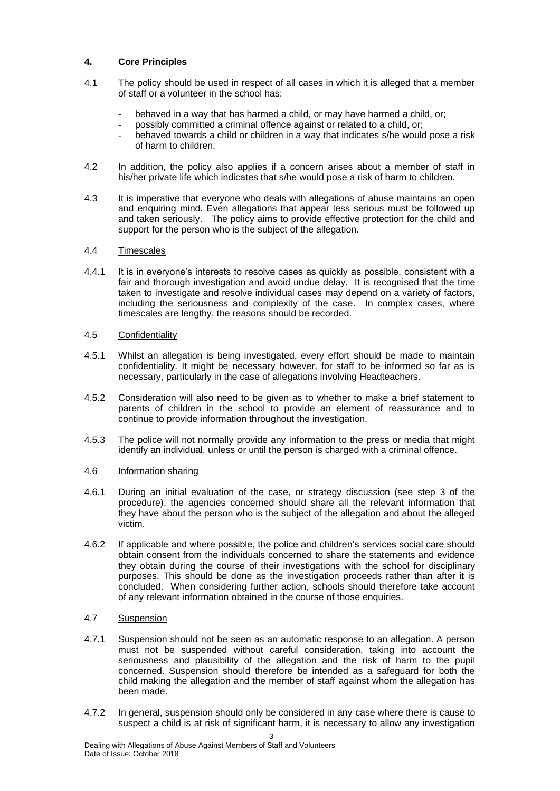# **4. Core Principles**

- 4.1 The policy should be used in respect of all cases in which it is alleged that a member of staff or a volunteer in the school has:
	- behaved in a way that has harmed a child, or may have harmed a child, or;
	- possibly committed a criminal offence against or related to a child, or;
	- behaved towards a child or children in a way that indicates s/he would pose a risk of harm to children.
- 4.2 In addition, the policy also applies if a concern arises about a member of staff in his/her private life which indicates that s/he would pose a risk of harm to children.
- 4.3 It is imperative that everyone who deals with allegations of abuse maintains an open and enquiring mind. Even allegations that appear less serious must be followed up and taken seriously. The policy aims to provide effective protection for the child and support for the person who is the subject of the allegation.

#### 4.4 Timescales

- 4.4.1 It is in everyone's interests to resolve cases as quickly as possible, consistent with a fair and thorough investigation and avoid undue delay. It is recognised that the time taken to investigate and resolve individual cases may depend on a variety of factors, including the seriousness and complexity of the case. In complex cases, where timescales are lengthy, the reasons should be recorded.
- 4.5 Confidentiality
- 4.5.1 Whilst an allegation is being investigated, every effort should be made to maintain confidentiality. It might be necessary however, for staff to be informed so far as is necessary, particularly in the case of allegations involving Headteachers.
- 4.5.2 Consideration will also need to be given as to whether to make a brief statement to parents of children in the school to provide an element of reassurance and to continue to provide information throughout the investigation.
- 4.5.3 The police will not normally provide any information to the press or media that might identify an individual, unless or until the person is charged with a criminal offence.

# 4.6 Information sharing

- 4.6.1 During an initial evaluation of the case, or strategy discussion (see step 3 of the procedure), the agencies concerned should share all the relevant information that they have about the person who is the subject of the allegation and about the alleged victim.
- 4.6.2 If applicable and where possible, the police and children's services social care should obtain consent from the individuals concerned to share the statements and evidence they obtain during the course of their investigations with the school for disciplinary purposes. This should be done as the investigation proceeds rather than after it is concluded. When considering further action, schools should therefore take account of any relevant information obtained in the course of those enquiries.

# 4.7 Suspension

- 4.7.1 Suspension should not be seen as an automatic response to an allegation. A person must not be suspended without careful consideration, taking into account the seriousness and plausibility of the allegation and the risk of harm to the pupil concerned. Suspension should therefore be intended as a safeguard for both the child making the allegation and the member of staff against whom the allegation has been made.
- 4.7.2 In general, suspension should only be considered in any case where there is cause to suspect a child is at risk of significant harm, it is necessary to allow any investigation

3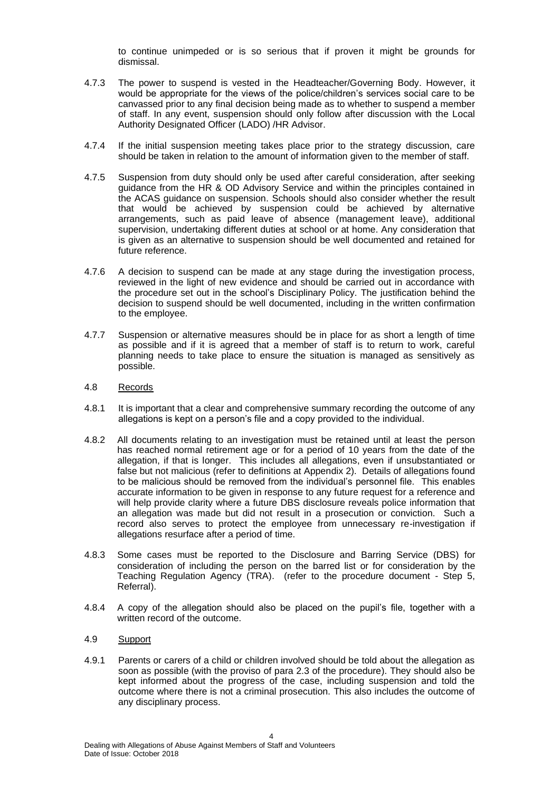to continue unimpeded or is so serious that if proven it might be grounds for dismissal.

- 4.7.3 The power to suspend is vested in the Headteacher/Governing Body. However, it would be appropriate for the views of the police/children's services social care to be canvassed prior to any final decision being made as to whether to suspend a member of staff. In any event, suspension should only follow after discussion with the Local Authority Designated Officer (LADO) /HR Advisor.
- 4.7.4 If the initial suspension meeting takes place prior to the strategy discussion, care should be taken in relation to the amount of information given to the member of staff.
- 4.7.5 Suspension from duty should only be used after careful consideration, after seeking guidance from the HR & OD Advisory Service and within the principles contained in the ACAS guidance on suspension. Schools should also consider whether the result that would be achieved by suspension could be achieved by alternative arrangements, such as paid leave of absence (management leave), additional supervision, undertaking different duties at school or at home. Any consideration that is given as an alternative to suspension should be well documented and retained for future reference.
- 4.7.6 A decision to suspend can be made at any stage during the investigation process, reviewed in the light of new evidence and should be carried out in accordance with the procedure set out in the school's Disciplinary Policy. The justification behind the decision to suspend should be well documented, including in the written confirmation to the employee.
- 4.7.7 Suspension or alternative measures should be in place for as short a length of time as possible and if it is agreed that a member of staff is to return to work, careful planning needs to take place to ensure the situation is managed as sensitively as possible.

#### 4.8 Records

- 4.8.1 It is important that a clear and comprehensive summary recording the outcome of any allegations is kept on a person's file and a copy provided to the individual.
- 4.8.2 All documents relating to an investigation must be retained until at least the person has reached normal retirement age or for a period of 10 years from the date of the allegation, if that is longer. This includes all allegations, even if unsubstantiated or false but not malicious (refer to definitions at Appendix 2). Details of allegations found to be malicious should be removed from the individual's personnel file. This enables accurate information to be given in response to any future request for a reference and will help provide clarity where a future DBS disclosure reveals police information that an allegation was made but did not result in a prosecution or conviction. Such a record also serves to protect the employee from unnecessary re-investigation if allegations resurface after a period of time.
- 4.8.3 Some cases must be reported to the Disclosure and Barring Service (DBS) for consideration of including the person on the barred list or for consideration by the Teaching Regulation Agency (TRA). (refer to the procedure document - Step 5, Referral).
- 4.8.4 A copy of the allegation should also be placed on the pupil's file, together with a written record of the outcome.

#### 4.9 Support

4.9.1 Parents or carers of a child or children involved should be told about the allegation as soon as possible (with the proviso of para 2.3 of the procedure). They should also be kept informed about the progress of the case, including suspension and told the outcome where there is not a criminal prosecution. This also includes the outcome of any disciplinary process.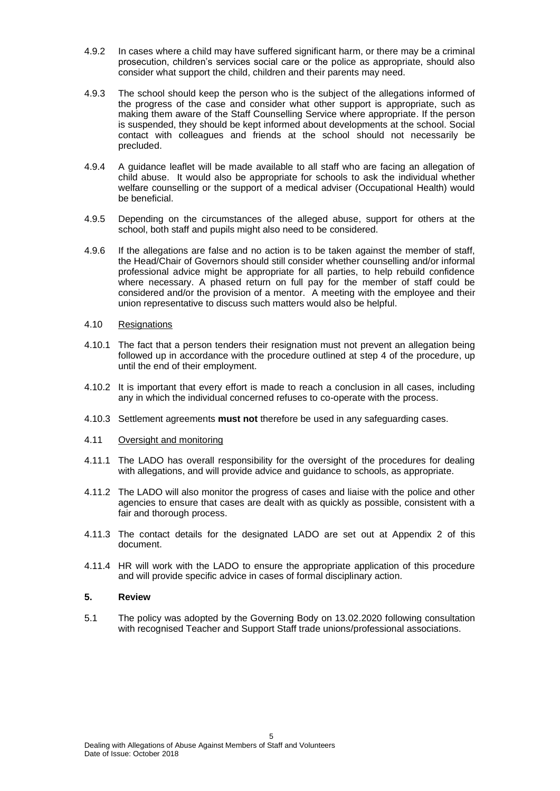- 4.9.2 In cases where a child may have suffered significant harm, or there may be a criminal prosecution, children's services social care or the police as appropriate, should also consider what support the child, children and their parents may need.
- 4.9.3 The school should keep the person who is the subject of the allegations informed of the progress of the case and consider what other support is appropriate, such as making them aware of the Staff Counselling Service where appropriate. If the person is suspended, they should be kept informed about developments at the school. Social contact with colleagues and friends at the school should not necessarily be precluded.
- 4.9.4 A guidance leaflet will be made available to all staff who are facing an allegation of child abuse. It would also be appropriate for schools to ask the individual whether welfare counselling or the support of a medical adviser (Occupational Health) would be beneficial.
- 4.9.5 Depending on the circumstances of the alleged abuse, support for others at the school, both staff and pupils might also need to be considered.
- 4.9.6 If the allegations are false and no action is to be taken against the member of staff, the Head/Chair of Governors should still consider whether counselling and/or informal professional advice might be appropriate for all parties, to help rebuild confidence where necessary. A phased return on full pay for the member of staff could be considered and/or the provision of a mentor. A meeting with the employee and their union representative to discuss such matters would also be helpful.

#### 4.10 Resignations

- 4.10.1 The fact that a person tenders their resignation must not prevent an allegation being followed up in accordance with the procedure outlined at step 4 of the procedure, up until the end of their employment.
- 4.10.2 It is important that every effort is made to reach a conclusion in all cases, including any in which the individual concerned refuses to co-operate with the process.
- 4.10.3 Settlement agreements **must not** therefore be used in any safeguarding cases.
- 4.11 Oversight and monitoring
- 4.11.1 The LADO has overall responsibility for the oversight of the procedures for dealing with allegations, and will provide advice and guidance to schools, as appropriate.
- 4.11.2 The LADO will also monitor the progress of cases and liaise with the police and other agencies to ensure that cases are dealt with as quickly as possible, consistent with a fair and thorough process.
- 4.11.3 The contact details for the designated LADO are set out at Appendix 2 of this document.
- 4.11.4 HR will work with the LADO to ensure the appropriate application of this procedure and will provide specific advice in cases of formal disciplinary action.

#### **5. Review**

5.1 The policy was adopted by the Governing Body on 13.02.2020 following consultation with recognised Teacher and Support Staff trade unions/professional associations.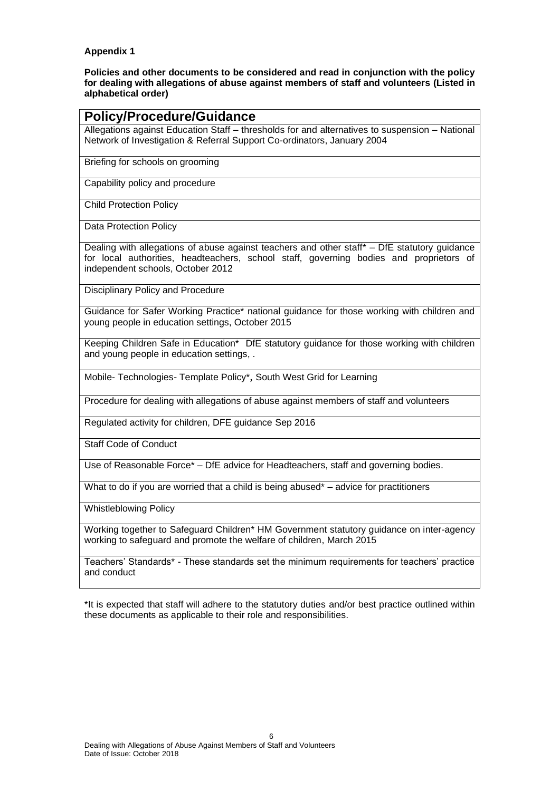#### **Appendix 1**

**Policies and other documents to be considered and read in conjunction with the policy for dealing with allegations of abuse against members of staff and volunteers (Listed in alphabetical order)**

| <b>Policy/Procedure/Guidance</b>                                                                                                                                                                                            |
|-----------------------------------------------------------------------------------------------------------------------------------------------------------------------------------------------------------------------------|
| Allegations against Education Staff - thresholds for and alternatives to suspension - National<br>Network of Investigation & Referral Support Co-ordinators, January 2004                                                   |
| Briefing for schools on grooming                                                                                                                                                                                            |
| Capability policy and procedure                                                                                                                                                                                             |
| <b>Child Protection Policy</b>                                                                                                                                                                                              |
| Data Protection Policy                                                                                                                                                                                                      |
| Dealing with allegations of abuse against teachers and other staff* - DfE statutory guidance<br>for local authorities, headteachers, school staff, governing bodies and proprietors of<br>independent schools, October 2012 |
| Disciplinary Policy and Procedure                                                                                                                                                                                           |
| Guidance for Safer Working Practice* national guidance for those working with children and<br>young people in education settings, October 2015                                                                              |
| Keeping Children Safe in Education* DfE statutory guidance for those working with children<br>and young people in education settings, .                                                                                     |
| Mobile- Technologies- Template Policy*, South West Grid for Learning                                                                                                                                                        |
| Procedure for dealing with allegations of abuse against members of staff and volunteers                                                                                                                                     |
| Regulated activity for children, DFE guidance Sep 2016                                                                                                                                                                      |

[Staff Code of Conduct](https://www.dorsetforyou.com/article/398213/C?detailid=398324)

[Use of Reasonable Force\\*](https://www.gov.uk/government/uploads/system/uploads/attachment_data/file/444051/Use_of_reasonable_force_advice_Reviewed_July_2015.pdf) – DfE advice for Headteachers, staff and governing bodies.

What to do if you are worried that a child is being abused<sup>\*</sup> – advice for practitioners

[Whistleblowing Policy](https://www.dorsetforyou.com/article/398219/W?detailid=398368)

[Working together to Safeguard Children\\*](https://www.gov.uk/government/publications/working-together-to-safeguard-children--2) HM Government statutory guidance on inter-agency working to safeguard and promote the welfare of children, March 2015

[Teachers' Standards\\*](https://www.gov.uk/government/publications/teachers-standards) - These standards set the minimum requirements for teachers' practice and conduct

\*It is expected that staff will adhere to the statutory duties and/or best practice outlined within these documents as applicable to their role and responsibilities.